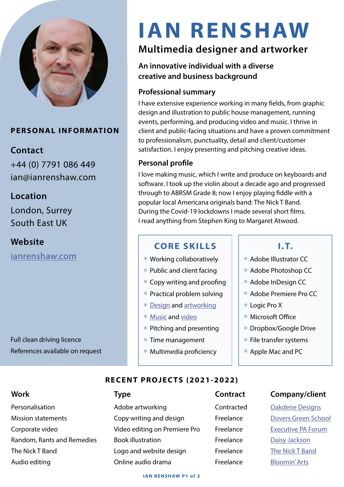

#### **PERSONAL INFORMATION**

### **Contact**

+44 (0) 7791 086 449 ian@ianrenshaw.com

### **Location**

London, Surrey South East UK

**Website** [ianrenshaw.com](https://www.ianrenshaw.com/visual-arts)

Full clean driving licence References available on request

# **IAN RENSHAW**

# **Multimedia designer and artworker**

#### **An innovative individual with a diverse creative and business background**

### **Professional summary**

I have extensive experience working in many fields, from graphic design and illustration to public house management, running events, performing, and producing video and music. I thrive in client and public-facing situations and have a proven commitment to professionalism, punctuality, detail and client/customer satisfaction. I enjoy presenting and pitching creative ideas.

#### **Personal profile**

I love making music, which I write and produce on keyboards and software. I took up the violin about a decade ago and progressed through to ABRSM Grade 8; now I enjoy playing fiddle with a popular local Americana originals band: The Nick T Band. During the Covid-19 lockdowns I made several short films. I read anything from Stephen King to Margaret Atwood.

### **CORE SKILLS I.T.**

- $\bullet$  Working collaboratively
- Public and client facing
- $\bullet$  Copy writing and proofing
- **Practical problem solving**
- **[Design](https://www.ianrenshaw.com/graphic-design) and [artworking](https://www.ianrenshaw.com/artworking)**
- [Music](https://www.ianrenshaw.com/music) and [video](https://www.ianrenshaw.com/video)
- **Pitching and presenting**
- $\bullet$  Time management
- $\bullet$  Multimedia proficiency

- **Adobe Illustrator CC**
- Adobe Photoshop CC
- **Adobe InDesign CC**
- **Adobe Premiere Pro CC**
- **Logic Pro X**
- $\bullet$  Microsoft Office
- **Dropbox/Google Drive**
- $\bullet$  File transfer systems
- **Apple Mac and PC**

#### **RECENT PROJEC TS (2021-2022)**

Corporate video **Video editing on Premiere Pro** Freelance [Executive PA Forum](https://executivepaforum.com) [The Nick T Band](https://www.nicktband.com) **Logo and website design** Freelance The Nick T Band

Personalisation **Adobe artworking** Contracted [Oakdene Designs](https://www.oakdenedesigns.com) Mission statements **Copy writing and design** Freelance [Dovers Green School](https://www.dovers-green.surrey.sch.uk) Random, Rants and Remedies Book illustration Freelance [Daisy Jackson](https://www.waterstones.com/book/random-rants-and-remedies/daisy-jackson/ian-renshaw/9781916371415) Audio editing **Audio editing Conline audio drama Freelance** [Bloomin' Arts](https://bloominarts.org.uk)

#### **Work Type Contract Company/client**

#### **IAN RENSHAW P1 of 2**